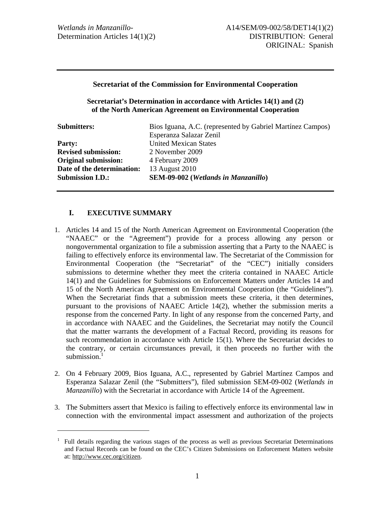#### **Secretariat of the Commission for Environmental Cooperation**

**Secretariat's Determination in accordance with Articles 14(1) and (2) of the North American Agreement on Environmental Cooperation** 

| <b>Submitters:</b>          | Bios Iguana, A.C. (represented by Gabriel Martínez Campos) |
|-----------------------------|------------------------------------------------------------|
|                             | Esperanza Salazar Zenil                                    |
| <b>Party:</b>               | <b>United Mexican States</b>                               |
| <b>Revised submission:</b>  | 2 November 2009                                            |
| <b>Original submission:</b> | 4 February 2009                                            |
| Date of the determination:  | 13 August 2010                                             |
| <b>Submission I.D.:</b>     | SEM-09-002 (Wetlands in Manzanillo)                        |

### **I. EXECUTIVE SUMMARY**

- 1. Articles 14 and 15 of the North American Agreement on Environmental Cooperation (the "NAAEC" or the "Agreement") provide for a process allowing any person or nongovernmental organization to file a submission asserting that a Party to the NAAEC is failing to effectively enforce its environmental law. The Secretariat of the Commission for Environmental Cooperation (the "Secretariat" of the "CEC") initially considers submissions to determine whether they meet the criteria contained in NAAEC Article 14(1) and the Guidelines for Submissions on Enforcement Matters under Articles 14 and 15 of the North American Agreement on Environmental Cooperation (the "Guidelines"). When the Secretariat finds that a submission meets these criteria, it then determines, pursuant to the provisions of NAAEC Article 14(2), whether the submission merits a response from the concerned Party. In light of any response from the concerned Party, and in accordance with NAAEC and the Guidelines, the Secretariat may notify the Council that the matter warrants the development of a Factual Record, providing its reasons for such recommendation in accordance with Article 15(1). Where the Secretariat decides to the contrary, or certain circumstances prevail, it then proceeds no further with the submission. $<sup>1</sup>$ </sup>
- 2. On 4 February 2009, Bios Iguana, A.C., represented by Gabriel Martínez Campos and Esperanza Salazar Zenil (the "Submitters"), filed submission SEM-09-002 (*Wetlands in Manzanillo*) with the Secretariat in accordance with Article 14 of the Agreement.
- 3. The Submitters assert that Mexico is failing to effectively enforce its environmental law in connection with the environmental impact assessment and authorization of the projects

<sup>1</sup> Full details regarding the various stages of the process as well as previous Secretariat Determinations and Factual Records can be found on the CEC's Citizen Submissions on Enforcement Matters website at: http://www.cec.org/citizen.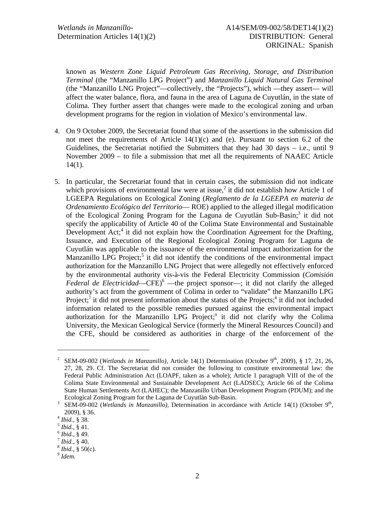known as *Western Zone Liquid Petroleum Gas Receiving, Storage, and Distribution Terminal* (the "Manzanillo LPG Project") and *Manzanillo Liquid Natural Gas Terminal*  (the "Manzanillo LNG Project"—collectively, the "Projects"), which —they assert— will affect the water balance, flora, and fauna in the area of Laguna de Cuyutlán, in the state of Colima. They further assert that changes were made to the ecological zoning and urban development programs for the region in violation of Mexico's environmental law.

- 4. On 9 October 2009, the Secretariat found that some of the assertions in the submission did not meet the requirements of Article  $14(1)(c)$  and (e). Pursuant to section 6.2 of the Guidelines, the Secretariat notified the Submitters that they had 30 days – i.e., until 9 November 2009 – to file a submission that met all the requirements of NAAEC Article 14(1).
- 5. In particular, the Secretariat found that in certain cases, the submission did not indicate which provisions of environmental law were at issue,<sup>2</sup> it did not establish how Article 1 of LGEEPA Regulations on Ecological Zoning (*Reglamento de la LGEEPA en materia de Ordenamiento Ecológico del Territorio*— ROE) applied to the alleged illegal modification of the Ecological Zoning Program for the Laguna de Cuyutlán Sub-Basin;<sup>3</sup> it did not specify the applicability of Article 40 of the Colima State Environmental and Sustainable Development Act;<sup>4</sup> it did not explain how the Coordination Agreement for the Drafting, Issuance, and Execution of the Regional Ecological Zoning Program for Laguna de Cuyutlán was applicable to the issuance of the environmental impact authorization for the Manzanillo LPG Project;<sup>5</sup> it did not identify the conditions of the environmental impact authorization for the Manzanillo LNG Project that were allegedly not effectively enforced by the environmental authority vis-à-vis the Federal Electricity Commission (*Comisión*  Federal de Electricidad—CFE)<sup>6</sup> —the project sponsor—; it did not clarify the alleged authority's act from the government of Colima in order to "validate" the Manzanillo LPG Project;<sup>7</sup> it did not present information about the status of the Projects;<sup>8</sup> it did not included information related to the possible remedies pursued against the environmental impact authorization for the Manzanillo LPG Project;<sup>9</sup> it did not clarify why the Colima University, the Mexican Geological Service (formerly the Mineral Resources Council) and the CFE, should be considered as authorities in charge of the enforcement of the

 $\overline{a}$ 

<sup>&</sup>lt;sup>2</sup> SEM-09-002 (*Wetlands in Manzanillo*), Article 14(1) Determination (October 9<sup>th</sup>, 2009), § 17, 21, 26, 27, 28, 29. Cf. The Secretariat did not consider the following to constitute environmental law: the Federal Public Administration Act (LOAPF, taken as a whole); Article 1 paragraph VIII of the of the Colima State Environmental and Sustainable Development Act (LADSEC); Article 66 of the Colima State Human Settlements Act (LAHEC); the Manzanillo Urban Development Program (PDUM); and the Ecological Zoning Program for the Laguna de Cuyutlán Sub-Basin. 3

<sup>&</sup>lt;sup>3</sup> SEM-09-002 (*Wetlands in Manzanillo*), Determination in accordance with Article 14(1) (October 9<sup>th</sup>, 2009), § 36.<br> $\frac{4}{1}$  Ibid., § 38.

<sup>&</sup>lt;sup>5</sup> *Ibid.*, § 41.<br><sup>6</sup> *Ibid.*, § 49.<br><sup>7</sup> *Ibid.*, § 40.<br><sup>8</sup> *Ibid.*, § 50(c).

*Idem.*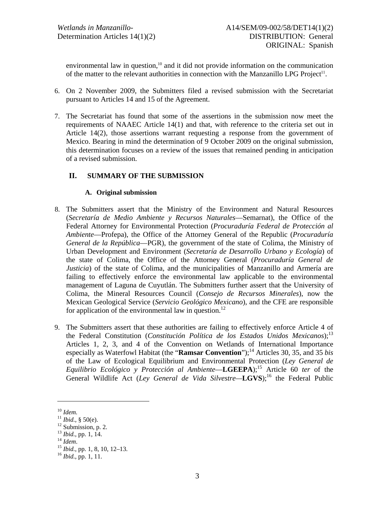environmental law in question, $10$  and it did not provide information on the communication of the matter to the relevant authorities in connection with the Manzanillo LPG Project<sup>11</sup>.

- 6. On 2 November 2009, the Submitters filed a revised submission with the Secretariat pursuant to Articles 14 and 15 of the Agreement.
- 7. The Secretariat has found that some of the assertions in the submission now meet the requirements of NAAEC Article 14(1) and that, with reference to the criteria set out in Article 14(2), those assertions warrant requesting a response from the government of Mexico. Bearing in mind the determination of 9 October 2009 on the original submission, this determination focuses on a review of the issues that remained pending in anticipation of a revised submission.

## **II. SUMMARY OF THE SUBMISSION**

### **A. Original submission**

- 8. The Submitters assert that the Ministry of the Environment and Natural Resources (*Secretaría de Medio Ambiente y Recursos Naturales*—Semarnat), the Office of the Federal Attorney for Environmental Protection (*Procuraduría Federal de Protección al Ambiente*—Profepa), the Office of the Attorney General of the Republic (*Procuraduría General de la República*—PGR), the government of the state of Colima, the Ministry of Urban Development and Environment (*Secretaría de Desarrollo Urbano y Ecología*) of the state of Colima, the Office of the Attorney General (*Procuraduría General de Justicia*) of the state of Colima, and the municipalities of Manzanillo and Armería are failing to effectively enforce the environmental law applicable to the environmental management of Laguna de Cuyutlán. The Submitters further assert that the University of Colima, the Mineral Resources Council (*Consejo de Recursos Minerales*), now the Mexican Geological Service (*Servicio Geológico Mexicano*), and the CFE are responsible for application of the environmental law in question.<sup>12</sup>
- 9. The Submitters assert that these authorities are failing to effectively enforce Article 4 of the Federal Constitution (*Constitución Política de los Estados Unidos Mexicanos*);13 Articles 1, 2, 3, and 4 of the Convention on Wetlands of International Importance especially as Waterfowl Habitat (the "**Ramsar Convention**");<sup>14</sup> Articles 30, 35, and 35 *bis* of the Law of Ecological Equilibrium and Environmental Protection (*Ley General de Equilibrio Ecológico y Protección al Ambiente*—**LGEEPA**);15 Article 60 *ter* of the General Wildlife Act (*Ley General de Vida Silvestre*—**LGVS**);<sup>16</sup> the Federal Public

<sup>&</sup>lt;sup>10</sup> *Idem.*<br><sup>11</sup> *Ibid.*, § 50(e).<br><sup>12</sup> Submission, p. 2.<br><sup>13</sup> *Ibid.*, pp. 1, 14.

<sup>14</sup> *Idem.*<br><sup>15</sup> *Ibid.*, pp. 1, 8, 10, 12–13.<br><sup>16</sup> *Ibid.*, pp. 1, 11.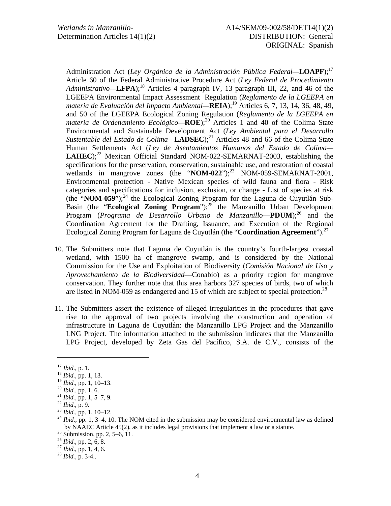Administration Act (*Ley Orgánica de la Administración Pública Federal—***LOAPF**);17 Article 60 of the Federal Administrative Procedure Act (*Ley Federal de Procedimiento Administrativo—***LFPA**);18 Articles 4 paragraph IV, 13 paragraph III, 22, and 46 of the LGEEPA Environmental Impact Assessment Regulation (*Reglamento de la LGEEPA en materia de Evaluación del Impacto Ambiental—***REIA**);19 Articles 6, 7, 13, 14, 36, 48, 49, and 50 of the LGEEPA Ecological Zoning Regulation (*Reglamento de la LGEEPA en materia de Ordenamiento Ecológico*—**ROE**);<sup>20</sup> Articles 1 and 40 of the Colima State Environmental and Sustainable Development Act (*Ley Ambiental para el Desarrollo Sustentable del Estado de Colima*—**LADSEC**);<sup>21</sup> Articles 48 and 66 of the Colima State Human Settlements Act (*Ley de Asentamientos Humanos del Estado de Colima—* **LAHEC**);<sup>22</sup> Mexican Official Standard NOM-022-SEMARNAT-2003, establishing the specifications for the preservation, conservation, sustainable use, and restoration of coastal wetlands in mangrove zones (the " $NOM-022$ ");<sup>23</sup> NOM-059-SEMARNAT-2001, Environmental protection - Native Mexican species of wild fauna and flora - Risk categories and specifications for inclusion, exclusion, or change - List of species at risk (the "**NOM-059**");<sup>24</sup> the Ecological Zoning Program for the Laguna de Cuyutlán Sub-Basin (the "**Ecological Zoning Program**");<sup>25</sup> the Manzanillo Urban Development Program (*Programa de Desarrollo Urbano de Manzanillo*—**PDUM**);<sup>26</sup> and the Coordination Agreement for the Drafting, Issuance, and Execution of the Regional Ecological Zoning Program for Laguna de Cuyutlán (the "**Coordination Agreement**").27

- 10. The Submitters note that Laguna de Cuyutlán is the country's fourth-largest coastal wetland, with 1500 ha of mangrove swamp, and is considered by the National Commission for the Use and Exploitation of Biodiversity (*Comisión Nacional de Uso y Aprovechamiento de la Biodiversidad*—Conabio) as a priority region for mangrove conservation. They further note that this area harbors 327 species of birds, two of which are listed in NOM-059 as endangered and 15 of which are subject to special protection.<sup>28</sup>
- 11. The Submitters assert the existence of alleged irregularities in the procedures that gave rise to the approval of two projects involving the construction and operation of infrastructure in Laguna de Cuyutlán: the Manzanillo LPG Project and the Manzanillo LNG Project. The information attached to the submission indicates that the Manzanillo LPG Project, developed by Zeta Gas del Pacífico, S.A. de C.V., consists of the

<sup>&</sup>lt;sup>17</sup> *Ibid.*, p. 1.<br><sup>18</sup> *Ibid.*, pp. 1, 13.<br><sup>19</sup> *Ibid.*, pp. 1, 10–13.

<sup>&</sup>lt;sup>20</sup> *Ibid.*, pp. 1, 6.<br>
<sup>21</sup> *Ibid.*, pp. 1, 5–7, 9.<br>
<sup>22</sup> *Ibid.*, p. 9.<br>
<sup>23</sup> *Ibid.*, pp. 1, 10–12.<br>
<sup>23</sup> *Ibid.*, pp. 1, 10–12.<br>
<sup>24</sup> *Ibid.*, pp. 1, 3–4, 10. The NOM cited in the submission may be considered environ by NAAEC Article 45(2), as it includes legal provisions that implement a law or a statute.<br><sup>25</sup> Submission, pp. 2, 5–6, 11.<br><sup>26</sup> *Ibid.*, pp. 2, 6, 8.

<sup>26</sup> *Ibid.*, pp. 2, 6, 8. 27 *Ibid.*, pp. 1, 4, 6. 28 *Ibid.*, p. 3-4..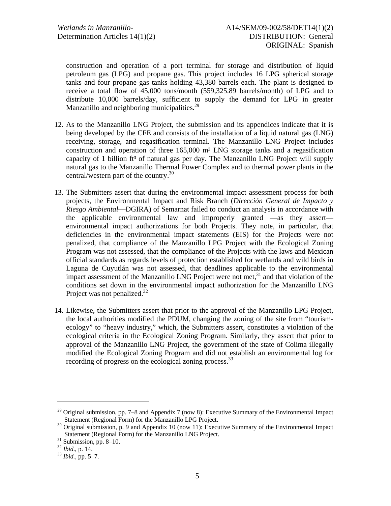construction and operation of a port terminal for storage and distribution of liquid petroleum gas (LPG) and propane gas. This project includes 16 LPG spherical storage tanks and four propane gas tanks holding 43,380 barrels each. The plant is designed to receive a total flow of 45,000 tons/month (559,325.89 barrels/month) of LPG and to distribute 10,000 barrels/day, sufficient to supply the demand for LPG in greater Manzanillo and neighboring municipalities. $29$ 

- 12. As to the Manzanillo LNG Project, the submission and its appendices indicate that it is being developed by the CFE and consists of the installation of a liquid natural gas (LNG) receiving, storage, and regasification terminal. The Manzanillo LNG Project includes construction and operation of three  $165,000$  m<sup>3</sup> LNG storage tanks and a regasification capacity of 1 billion ft<sup>3</sup> of natural gas per day. The Manzanillo LNG Project will supply natural gas to the Manzanillo Thermal Power Complex and to thermal power plants in the central/western part of the country.30
- 13. The Submitters assert that during the environmental impact assessment process for both projects, the Environmental Impact and Risk Branch (*Dirección General de Impacto y Riesgo Ambiental*—DGIRA) of Semarnat failed to conduct an analysis in accordance with the applicable environmental law and improperly granted —as they assert environmental impact authorizations for both Projects. They note, in particular, that deficiencies in the environmental impact statements (EIS) for the Projects were not penalized, that compliance of the Manzanillo LPG Project with the Ecological Zoning Program was not assessed, that the compliance of the Projects with the laws and Mexican official standards as regards levels of protection established for wetlands and wild birds in Laguna de Cuyutlán was not assessed, that deadlines applicable to the environmental impact assessment of the Manzanillo LNG Project were not met, $31$  and that violation of the conditions set down in the environmental impact authorization for the Manzanillo LNG Project was not penalized.<sup>32</sup>
- 14. Likewise, the Submitters assert that prior to the approval of the Manzanillo LPG Project, the local authorities modified the PDUM, changing the zoning of the site from "tourismecology" to "heavy industry," which, the Submitters assert, constitutes a violation of the ecological criteria in the Ecological Zoning Program. Similarly, they assert that prior to approval of the Manzanillo LNG Project, the government of the state of Colima illegally modified the Ecological Zoning Program and did not establish an environmental log for recording of progress on the ecological zoning process.<sup>33</sup>

<sup>&</sup>lt;sup>29</sup> Original submission, pp. 7–8 and Appendix 7 (now 8): Executive Summary of the Environmental Impact Statement (Regional Form) for the Manzanillo LPG Project.

 $30$  Original submission, p. 9 and Appendix 10 (now 11): Executive Summary of the Environmental Impact Statement (Regional Form) for the Manzanillo LNG Project.<br><sup>31</sup> Submission, pp. 8–10.<br><sup>32</sup> Ibid., p. 14.

<sup>&</sup>lt;sup>33</sup> *Ibid.*, pp. 5–7.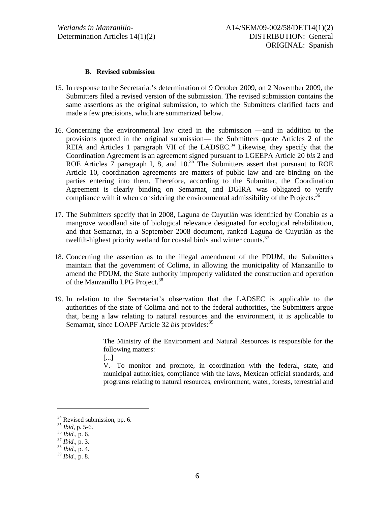#### **B. Revised submission**

- 15. In response to the Secretariat's determination of 9 October 2009, on 2 November 2009, the Submitters filed a revised version of the submission. The revised submission contains the same assertions as the original submission, to which the Submitters clarified facts and made a few precisions, which are summarized below.
- 16. Concerning the environmental law cited in the submission —and in addition to the provisions quoted in the original submission— the Submitters quote Articles 2 of the REIA and Articles 1 paragraph VII of the LADSEC.<sup>34</sup> Likewise, they specify that the Coordination Agreement is an agreement signed pursuant to LGEEPA Article 20 *bis* 2 and ROE Articles  $\overline{7}$  paragraph I, 8, and  $10^{35}$  The Submitters assert that pursuant to ROE Article 10, coordination agreements are matters of public law and are binding on the parties entering into them. Therefore, according to the Submitter, the Coordination Agreement is clearly binding on Semarnat, and DGIRA was obligated to verify compliance with it when considering the environmental admissibility of the Projects.<sup>36</sup>
- 17. The Submitters specify that in 2008, Laguna de Cuyutlán was identified by Conabio as a mangrove woodland site of biological relevance designated for ecological rehabilitation, and that Semarnat, in a September 2008 document, ranked Laguna de Cuyutlán as the twelfth-highest priority wetland for coastal birds and winter counts.<sup>37</sup>
- 18. Concerning the assertion as to the illegal amendment of the PDUM, the Submitters maintain that the government of Colima, in allowing the municipality of Manzanillo to amend the PDUM, the State authority improperly validated the construction and operation of the Manzanillo LPG Project.<sup>38</sup>
- 19. In relation to the Secretariat's observation that the LADSEC is applicable to the authorities of the state of Colima and not to the federal authorities, the Submitters argue that, being a law relating to natural resources and the environment, it is applicable to Semarnat, since LOAPF Article 32 *bis* provides:<sup>39</sup>

The Ministry of the Environment and Natural Resources is responsible for the following matters:

[...]

V.- To monitor and promote, in coordination with the federal, state, and municipal authorities, compliance with the laws, Mexican official standards, and programs relating to natural resources, environment, water, forests, terrestrial and

1

 $34$  Revised submission, pp. 6.<br> $35$  *Ibid*, p. 5-6.

<sup>35</sup> *Ibid*, p. 5-6. 36 *Ibid.*, p. 6. 37 *Ibid.*, p. 3. 38 *Ibid.*, p. 4.

<sup>39</sup> *Ibid.*, p. 8.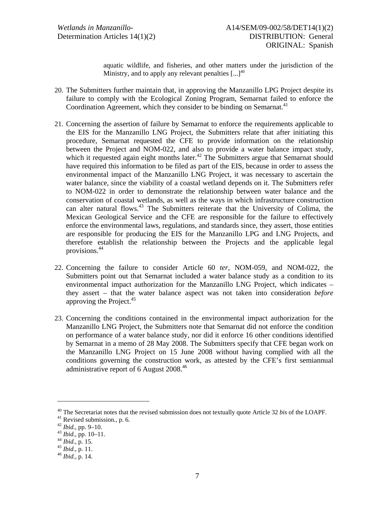aquatic wildlife, and fisheries, and other matters under the jurisdiction of the Ministry, and to apply any relevant penalties  $[...]^{40}$ 

- 20. The Submitters further maintain that, in approving the Manzanillo LPG Project despite its failure to comply with the Ecological Zoning Program, Semarnat failed to enforce the Coordination Agreement, which they consider to be binding on Semarnat.<sup>41</sup>
- 21. Concerning the assertion of failure by Semarnat to enforce the requirements applicable to the EIS for the Manzanillo LNG Project, the Submitters relate that after initiating this procedure, Semarnat requested the CFE to provide information on the relationship between the Project and NOM-022, and also to provide a water balance impact study, which it requested again eight months later.<sup>42</sup> The Submitters argue that Semarnat should have required this information to be filed as part of the EIS, because in order to assess the environmental impact of the Manzanillo LNG Project, it was necessary to ascertain the water balance, since the viability of a coastal wetland depends on it. The Submitters refer to NOM-022 in order to demonstrate the relationship between water balance and the conservation of coastal wetlands, as well as the ways in which infrastructure construction can alter natural flows.<sup>43</sup> The Submitters reiterate that the University of Colima, the Mexican Geological Service and the CFE are responsible for the failure to effectively enforce the environmental laws, regulations, and standards since, they assert, those entities are responsible for producing the EIS for the Manzanillo LPG and LNG Projects, and therefore establish the relationship between the Projects and the applicable legal provisions.44
- 22. Concerning the failure to consider Article 60 *ter*, NOM-059, and NOM-022, the Submitters point out that Semarnat included a water balance study as a condition to its environmental impact authorization for the Manzanillo LNG Project, which indicates – they assert – that the water balance aspect was not taken into consideration *before* approving the Project.<sup>45</sup>
- 23. Concerning the conditions contained in the environmental impact authorization for the Manzanillo LNG Project, the Submitters note that Semarnat did not enforce the condition on performance of a water balance study, nor did it enforce 16 other conditions identified by Semarnat in a memo of 28 May 2008. The Submitters specify that CFE began work on the Manzanillo LNG Project on 15 June 2008 without having complied with all the conditions governing the construction work, as attested by the CFE's first semiannual administrative report of 6 August 2008.<sup>46</sup>

<sup>&</sup>lt;sup>40</sup> The Secretariat notes that the revised submission does not textually quote Article 32 *bis* of the LOAPF.<br><sup>41</sup> Revised submission., p. 6.<br><sup>42</sup> *Ibid.*, pp. 9–10.<br><sup>43</sup> *Ibid.*, pp. 10–11.<br><sup>44</sup> *Ibid.*, p. 15.<br><sup>45</sup> *Ib*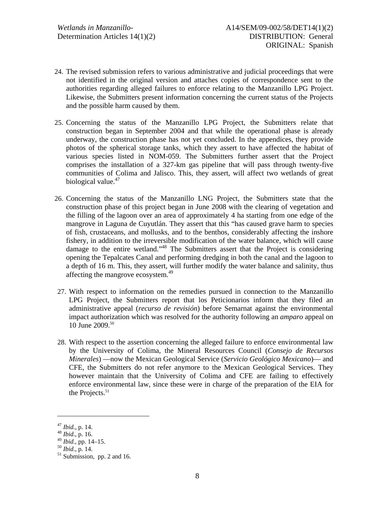- 24. The revised submission refers to various administrative and judicial proceedings that were not identified in the original version and attaches copies of correspondence sent to the authorities regarding alleged failures to enforce relating to the Manzanillo LPG Project. Likewise, the Submitters present information concerning the current status of the Projects and the possible harm caused by them.
- 25. Concerning the status of the Manzanillo LPG Project, the Submitters relate that construction began in September 2004 and that while the operational phase is already underway, the construction phase has not yet concluded. In the appendices, they provide photos of the spherical storage tanks, which they assert to have affected the habitat of various species listed in NOM-059. The Submitters further assert that the Project comprises the installation of a 327-km gas pipeline that will pass through twenty-five communities of Colima and Jalisco. This, they assert, will affect two wetlands of great biological value.<sup>47</sup>
- 26. Concerning the status of the Manzanillo LNG Project, the Submitters state that the construction phase of this project began in June 2008 with the clearing of vegetation and the filling of the lagoon over an area of approximately 4 ha starting from one edge of the mangrove in Laguna de Cuyutlán. They assert that this "has caused grave harm to species of fish, crustaceans, and mollusks, and to the benthos, considerably affecting the inshore fishery, in addition to the irreversible modification of the water balance, which will cause damage to the entire wetland."48 The Submitters assert that the Project is considering opening the Tepalcates Canal and performing dredging in both the canal and the lagoon to a depth of 16 m. This, they assert, will further modify the water balance and salinity, thus affecting the mangrove ecosystem.<sup>49</sup>
- 27. With respect to information on the remedies pursued in connection to the Manzanillo LPG Project, the Submitters report that los Peticionarios inform that they filed an administrative appeal (*recurso de revisión*) before Semarnat against the environmental impact authorization which was resolved for the authority following an *amparo* appeal on 10 June 2009.50
- 28. With respect to the assertion concerning the alleged failure to enforce environmental law by the University of Colima, the Mineral Resources Council (*Consejo de Recursos Minerales*) —now the Mexican Geological Service (*Servicio Geológico Mexicano*)— and CFE, the Submitters do not refer anymore to the Mexican Geological Services. They however maintain that the University of Colima and CFE are failing to effectively enforce environmental law, since these were in charge of the preparation of the EIA for the Projects. $51$

 $\overline{a}$ 

<sup>47</sup> *Ibid.*, p. 14. 48 *Ibid.,* p. 16.

 $^{50}$  *Ibid.*, p. 14.<br><sup>51</sup> Submission, pp. 2 and 16.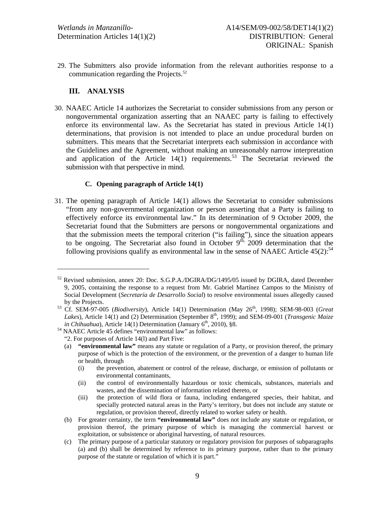29. The Submitters also provide information from the relevant authorities response to a communication regarding the Projects.<sup>52</sup>

# **III. ANALYSIS**

l

30. NAAEC Article 14 authorizes the Secretariat to consider submissions from any person or nongovernmental organization asserting that an NAAEC party is failing to effectively enforce its environmental law. As the Secretariat has stated in previous Article 14(1) determinations, that provision is not intended to place an undue procedural burden on submitters. This means that the Secretariat interprets each submission in accordance with the Guidelines and the Agreement, without making an unreasonably narrow interpretation and application of the Article  $14(1)$  requirements.<sup>53</sup> The Secretariat reviewed the submission with that perspective in mind.

### **C. Opening paragraph of Article 14(1)**

31. The opening paragraph of Article 14(1) allows the Secretariat to consider submissions "from any non-governmental organization or person asserting that a Party is failing to effectively enforce its environmental law." In its determination of 9 October 2009, the Secretariat found that the Submitters are persons or nongovernmental organizations and that the submission meets the temporal criterion ("is failing"), since the situation appears to be ongoing. The Secretariat also found in October  $9<sup>th</sup>$ , 2009 determination that the following provisions qualify as environmental law in the sense of NAAEC Article  $45(2)$ :<sup>54</sup>

 $52$  Revised submission, annex 20: Doc. S.G.P.A./DGIRA/DG/1495/05 issued by DGIRA, dated December 9, 2005, containing the response to a request from Mr. Gabriel Martínez Campos to the Ministry of Social Development (*Secretaría de Desarrollo Social*) to resolve environmental issues allegedly caused by the Projects.<br><sup>53</sup> Cf. SEM-97-005 (*Biodiversity*), Article 14(1) Determination (May 26<sup>th</sup>, 1998); SEM-98-003 (*Great* 

*Lakes*), Article 14(1) and (2) Determination (September 8<sup>th</sup>, 1999); and SEM-09-001 (*Transgenic Maize in Chihuahua*), Article 14(1) Determination (January 6<sup>th</sup>, 2010), §8.

<sup>&</sup>lt;sup>54</sup> NAAEC Article 45 defines "environmental law" as follows:

<sup>&</sup>quot;2. For purposes of Article 14(l) and Part Five:

<sup>(</sup>a) **"environmental law"** means any statute or regulation of a Party, or provision thereof, the primary purpose of which is the protection of the environment, or the prevention of a danger to human life or health, through

<sup>(</sup>i) the prevention, abatement or control of the release, discharge, or emission of pollutants or environmental contaminants,

<sup>(</sup>ii) the control of environmentally hazardous or toxic chemicals, substances, materials and wastes, and the dissemination of information related thereto, or

<sup>(</sup>iii) the protection of wild flora or fauna, including endangered species, their habitat, and specially protected natural areas in the Party's territory, but does not include any statute or regulation, or provision thereof, directly related to worker safety or health.

<sup>(</sup>b) For greater certainty, the term **"environmental law"** does not include any statute or regulation, or provision thereof, the primary purpose of which is managing the commercial harvest or exploitation, or subsistence or aboriginal harvesting, of natural resources.

<sup>(</sup>c) The primary purpose of a particular statutory or regulatory provision for purposes of subparagraphs (a) and (b) shall be determined by reference to its primary purpose, rather than to the primary purpose of the statute or regulation of which it is part."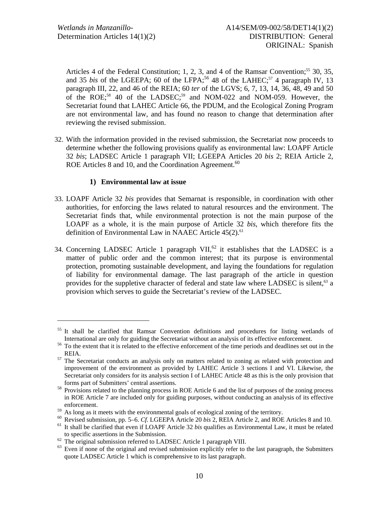Articles 4 of the Federal Constitution; 1, 2, 3, and 4 of the Ramsar Convention;<sup>55</sup> 30, 35, and 35 *bis* of the LGEEPA; 60 of the LFPA;<sup>56</sup> 48 of the LAHEC;<sup>57</sup> 4 paragraph IV, 13 paragraph III, 22, and 46 of the REIA; 60 *ter* of the LGVS; 6, 7, 13, 14, 36, 48, 49 and 50 of the ROE;<sup>58</sup> 40 of the LADSEC;<sup>59</sup> and NOM-022 and NOM-059. However, the Secretariat found that LAHEC Article 66, the PDUM, and the Ecological Zoning Program are not environmental law, and has found no reason to change that determination after reviewing the revised submission.

32. With the information provided in the revised submission, the Secretariat now proceeds to determine whether the following provisions qualify as environmental law: LOAPF Article 32 *bis*; LADSEC Article 1 paragraph VII; LGEEPA Articles 20 *bis* 2; REIA Article 2, ROE Articles 8 and 10, and the Coordination Agreement.<sup>60</sup>

### **1) Environmental law at issue**

- 33. LOAPF Article 32 *bis* provides that Semarnat is responsible, in coordination with other authorities, for enforcing the laws related to natural resources and the environment. The Secretariat finds that, while environmental protection is not the main purpose of the LOAPF as a whole, it is the main purpose of Article 32 *bis*, which therefore fits the definition of Environmental Law in NAAEC Article  $45(2)$ .<sup>61</sup>
- 34. Concerning LADSEC Article 1 paragraph  $VII$ ,<sup>62</sup> it establishes that the LADSEC is a matter of public order and the common interest; that its purpose is environmental protection, promoting sustainable development, and laying the foundations for regulation of liability for environmental damage. The last paragraph of the article in question provides for the suppletive character of federal and state law where LADSEC is silent,<sup>63</sup> a provision which serves to guide the Secretariat's review of the LADSEC.

<sup>&</sup>lt;sup>55</sup> It shall be clarified that Ramsar Convention definitions and procedures for listing wetlands of

International are only for guiding the Secretariat without an analysis of its effective enforcement.<br><sup>56</sup> To the extent that it is related to the effective enforcement of the time periods and deadlines set out in the

REIA.<br><sup>57</sup> The Secretariat conducts an analysis only on matters related to zoning as related with protection and improvement of the environment as provided by LAHEC Article 3 sections I and VI. Likewise, the Secretariat only considers for its analysis section I of LAHEC Article 48 as this is the only provision that

forms part of Submitters' central assertions. 58 Provisions related to the planning process in ROE Article 6 and the list of purposes of the zoning process in ROE Article 7 are included only for guiding purposes, without conducting an analysis of its effective enforcement.<br>As long as it meets with the environmental goals of ecological zoning of the territory.

<sup>&</sup>lt;sup>59</sup> As long as it meets with the environmental goals of ecological zoning of the territory.<br><sup>60</sup> Revised submission, pp. 5–6. *Cf.* LGEEPA Article 20 *bis* 2, REIA Article 2, and ROE Articles 8 and 10.<br><sup>61</sup> It shall be c

to specific assertions in the Submission.<br><sup>62</sup> The original submission referred to LADSEC Article 1 paragraph VIII.

 $63$  Even if none of the original and revised submission explicitly refer to the last paragraph, the Submitters quote LADSEC Article 1 which is comprehensive to its last paragraph.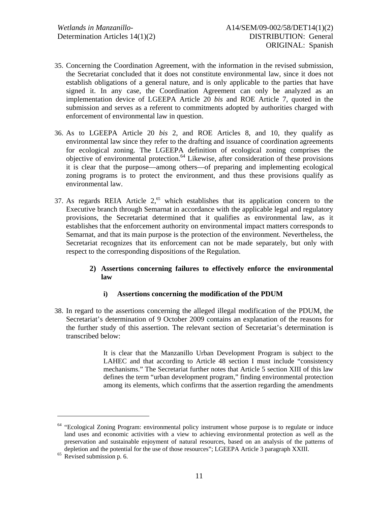- 35. Concerning the Coordination Agreement, with the information in the revised submission, the Secretariat concluded that it does not constitute environmental law, since it does not establish obligations of a general nature, and is only applicable to the parties that have signed it. In any case, the Coordination Agreement can only be analyzed as an implementation device of LGEEPA Article 20 *bis* and ROE Article 7, quoted in the submission and serves as a referent to commitments adopted by authorities charged with enforcement of environmental law in question.
- 36. As to LGEEPA Article 20 *bis* 2, and ROE Articles 8, and 10, they qualify as environmental law since they refer to the drafting and issuance of coordination agreements for ecological zoning. The LGEEPA definition of ecological zoning comprises the objective of environmental protection.64 Likewise, after consideration of these provisions it is clear that the purpose—among others—of preparing and implementing ecological zoning programs is to protect the environment, and thus these provisions qualify as environmental law.
- 37. As regards REIA Article  $2<sup>65</sup>$  which establishes that its application concern to the Executive branch through Semarnat in accordance with the applicable legal and regulatory provisions, the Secretariat determined that it qualifies as environmental law, as it establishes that the enforcement authority on environmental impact matters corresponds to Semarnat, and that its main purpose is the protection of the environment. Nevertheless, the Secretariat recognizes that its enforcement can not be made separately, but only with respect to the corresponding dispositions of the Regulation.

### **2) Assertions concerning failures to effectively enforce the environmental law**

### **i) Assertions concerning the modification of the PDUM**

38. In regard to the assertions concerning the alleged illegal modification of the PDUM, the Secretariat's determination of 9 October 2009 contains an explanation of the reasons for the further study of this assertion. The relevant section of Secretariat's determination is transcribed below:

> It is clear that the Manzanillo Urban Development Program is subject to the LAHEC and that according to Article 48 section I must include "consistency mechanisms." The Secretariat further notes that Article 5 section XIII of this law defines the term "urban development program," finding environmental protection among its elements, which confirms that the assertion regarding the amendments

-

<sup>&</sup>lt;sup>64</sup> "Ecological Zoning Program: environmental policy instrument whose purpose is to regulate or induce land uses and economic activities with a view to achieving environmental protection as well as the preservation and sustainable enjoyment of natural resources, based on an analysis of the patterns of depletion and the potential for the use of those resources"; LGEEPA Article 3 paragraph XXIII. <sup>65</sup> Revised submission p. 6.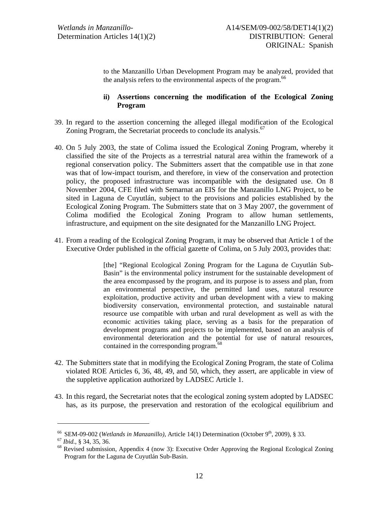to the Manzanillo Urban Development Program may be analyzed, provided that the analysis refers to the environmental aspects of the program.<sup>66</sup>

## **ii) Assertions concerning the modification of the Ecological Zoning Program**

- 39. In regard to the assertion concerning the alleged illegal modification of the Ecological Zoning Program, the Secretariat proceeds to conclude its analysis.<sup>67</sup>
- 40. On 5 July 2003, the state of Colima issued the Ecological Zoning Program, whereby it classified the site of the Projects as a terrestrial natural area within the framework of a regional conservation policy. The Submitters assert that the compatible use in that zone was that of low-impact tourism, and therefore, in view of the conservation and protection policy, the proposed infrastructure was incompatible with the designated use. On 8 November 2004, CFE filed with Semarnat an EIS for the Manzanillo LNG Project, to be sited in Laguna de Cuyutlán, subject to the provisions and policies established by the Ecological Zoning Program. The Submitters state that on 3 May 2007, the government of Colima modified the Ecological Zoning Program to allow human settlements, infrastructure, and equipment on the site designated for the Manzanillo LNG Project.
- 41. From a reading of the Ecological Zoning Program, it may be observed that Article 1 of the Executive Order published in the official gazette of Colima, on 5 July 2003, provides that:

[the] "Regional Ecological Zoning Program for the Laguna de Cuyutlán Sub-Basin" is the environmental policy instrument for the sustainable development of the area encompassed by the program, and its purpose is to assess and plan, from an environmental perspective, the permitted land uses, natural resource exploitation, productive activity and urban development with a view to making biodiversity conservation, environmental protection, and sustainable natural resource use compatible with urban and rural development as well as with the economic activities taking place, serving as a basis for the preparation of development programs and projects to be implemented, based on an analysis of environmental deterioration and the potential for use of natural resources, contained in the corresponding program.<sup>68</sup>

- 42. The Submitters state that in modifying the Ecological Zoning Program, the state of Colima violated ROE Articles 6, 36, 48, 49, and 50, which, they assert, are applicable in view of the suppletive application authorized by LADSEC Article 1.
- 43. In this regard, the Secretariat notes that the ecological zoning system adopted by LADSEC has, as its purpose, the preservation and restoration of the ecological equilibrium and

<sup>&</sup>lt;sup>66</sup> SEM-09-002 (*Wetlands in Manzanillo*), Article 14(1) Determination (October 9<sup>th</sup>, 2009), § 33.<br><sup>67</sup> *Ibid.*, § 34, 35, 36.<br><sup>68</sup> Revised submission, Appendix 4 (now 3): Executive Order Approving the Regional Ecologic Program for the Laguna de Cuyutlán Sub-Basin.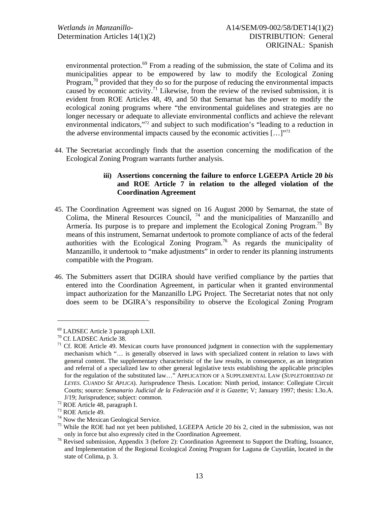environmental protection.<sup>69</sup> From a reading of the submission, the state of Colima and its municipalities appear to be empowered by law to modify the Ecological Zoning Program,<sup>70</sup> provided that they do so for the purpose of reducing the environmental impacts caused by economic activity.<sup>71</sup> Likewise, from the review of the revised submission, it is evident from ROE Articles 48, 49, and 50 that Semarnat has the power to modify the ecological zoning programs where "the environmental guidelines and strategies are no longer necessary or adequate to alleviate environmental conflicts and achieve the relevant environmental indicators,"72 and subject to such modification's "leading to a reduction in the adverse environmental impacts caused by the economic activities  $[...]$ <sup>"73</sup>

44. The Secretariat accordingly finds that the assertion concerning the modification of the Ecological Zoning Program warrants further analysis.

### **iii) Assertions concerning the failure to enforce LGEEPA Article 20** *bis*  **and ROE Article 7 in relation to the alleged violation of the Coordination Agreement**

- 45. The Coordination Agreement was signed on 16 August 2000 by Semarnat, the state of Colima, the Mineral Resources Council,  $74$  and the municipalities of Manzanillo and Armería. Its purpose is to prepare and implement the Ecological Zoning Program.<sup>75</sup> By means of this instrument, Semarnat undertook to promote compliance of acts of the federal authorities with the Ecological Zoning Program.<sup>76</sup> As regards the municipality of Manzanillo, it undertook to "make adjustments" in order to render its planning instruments compatible with the Program.
- 46. The Submitters assert that DGIRA should have verified compliance by the parties that entered into the Coordination Agreement, in particular when it granted environmental impact authorization for the Manzanillo LPG Project. The Secretariat notes that not only does seem to be DGIRA's responsibility to observe the Ecological Zoning Program

 $^{69}$  LADSEC Article 3 paragraph LXII.<br><sup>70</sup> Cf. LADSEC Article 38.

 $71$  Cf. ROE Article 49. Mexican courts have pronounced judgment in connection with the supplementary mechanism which "… is generally observed in laws with specialized content in relation to laws with general content. The supplementary characteristic of the law results, in consequence, as an integration and referral of a specialized law to other general legislative texts establishing the applicable principles for the regulation of the substituted law…" APPLICATION OF A SUPPLEMENTAL LAW (*SUPLETORIEDAD DE LEYES. CUANDO SE APLICA*). Jurisprudence Thesis. Location: Ninth period, instance: Collegiate Circuit Courts; source: *Semanario Judicial de la Federación and it is Gazette*; V; January 1997; thesis: I.3o.A. J/19; Jurisprudence; subject: common. 72 ROE Article 48, paragraph I.

<sup>73</sup> ROE Article 49.

<sup>&</sup>lt;sup>74</sup> Now the Mexican Geological Service.

<sup>75</sup> While the ROE had not yet been published, LGEEPA Article 20 *bis* 2, cited in the submission, was not

only in force but also expressly cited in the Coordination Agreement. 76 Revised submission, Appendix 3 (before 2): Coordination Agreement to Support the Drafting, Issuance, and Implementation of the Regional Ecological Zoning Program for Laguna de Cuyutlán, located in the state of Colima, p. 3.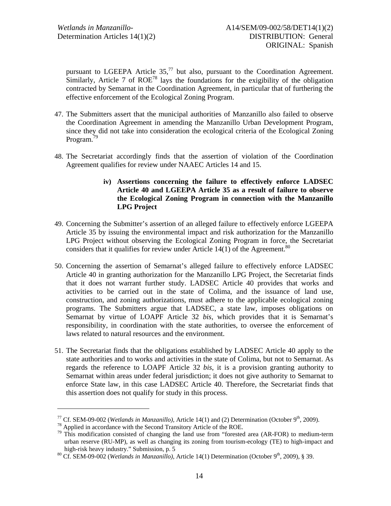pursuant to LGEEPA Article  $35<sup>77</sup>$  but also, pursuant to the Coordination Agreement. Similarly, Article 7 of  $ROE^{78}$  lays the foundations for the exigibility of the obligation contracted by Semarnat in the Coordination Agreement, in particular that of furthering the effective enforcement of the Ecological Zoning Program.

- 47. The Submitters assert that the municipal authorities of Manzanillo also failed to observe the Coordination Agreement in amending the Manzanillo Urban Development Program, since they did not take into consideration the ecological criteria of the Ecological Zoning Program.<sup>79</sup>
- 48. The Secretariat accordingly finds that the assertion of violation of the Coordination Agreement qualifies for review under NAAEC Articles 14 and 15.
	- **iv) Assertions concerning the failure to effectively enforce LADSEC Article 40 and LGEEPA Article 35 as a result of failure to observe the Ecological Zoning Program in connection with the Manzanillo LPG Project**
- 49. Concerning the Submitter's assertion of an alleged failure to effectively enforce LGEEPA Article 35 by issuing the environmental impact and risk authorization for the Manzanillo LPG Project without observing the Ecological Zoning Program in force, the Secretariat considers that it qualifies for review under Article  $14(1)$  of the Agreement.<sup>80</sup>
- 50. Concerning the assertion of Semarnat's alleged failure to effectively enforce LADSEC Article 40 in granting authorization for the Manzanillo LPG Project, the Secretariat finds that it does not warrant further study. LADSEC Article 40 provides that works and activities to be carried out in the state of Colima, and the issuance of land use, construction, and zoning authorizations, must adhere to the applicable ecological zoning programs. The Submitters argue that LADSEC, a state law, imposes obligations on Semarnat by virtue of LOAPF Article 32 *bis*, which provides that it is Semarnat's responsibility, in coordination with the state authorities, to oversee the enforcement of laws related to natural resources and the environment.
- 51. The Secretariat finds that the obligations established by LADSEC Article 40 apply to the state authorities and to works and activities in the state of Colima, but not to Semarnat. As regards the reference to LOAPF Article 32 *bis*, it is a provision granting authority to Semarnat within areas under federal jurisdiction; it does not give authority to Semarnat to enforce State law, in this case LADSEC Article 40. Therefore, the Secretariat finds that this assertion does not qualify for study in this process.

<sup>&</sup>lt;sup>77</sup> Cf. SEM-09-002 (*Wetlands in Manzanillo*), Article 14(1) and (2) Determination (October 9<sup>th</sup>, 2009).<br><sup>78</sup> Applied in accordance with the Second Transitory Article of the ROE.<br><sup>79</sup> This modification consisted of chan urban reserve (RU-MP), as well as changing its zoning from tourism-ecology (TE) to high-impact and high-risk heavy industry." Submission, p. 5<br><sup>80</sup> Cf. SEM-09-002 (*Wetlands in Manzanillo*), Article 14(1) Determination (October 9<sup>th</sup>, 2009), § 39.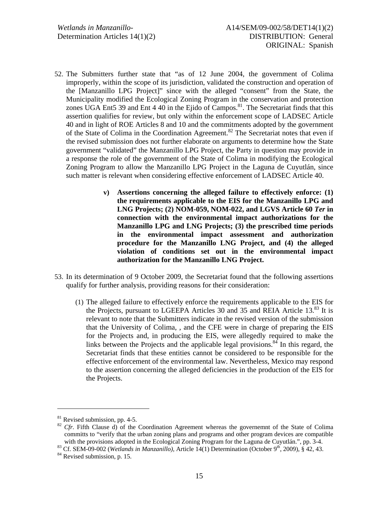- 52. The Submitters further state that "as of 12 June 2004, the government of Colima improperly, within the scope of its jurisdiction, validated the construction and operation of the [Manzanillo LPG Project]" since with the alleged "consent" from the State, the Municipality modified the Ecological Zoning Program in the conservation and protection zones UGA Ent5 39 and Ent 4 40 in the Ejido of Campos.<sup>81</sup>. The Secretariat finds that this assertion qualifies for review, but only within the enforcement scope of LADSEC Article 40 and in light of ROE Articles 8 and 10 and the commitments adopted by the government of the State of Colima in the Coordination Agreement.<sup>82</sup> The Secretariat notes that even if the revised submission does not further elaborate on arguments to determine how the State government "validated" the Manzanillo LPG Project, the Party in question may provide in a response the role of the government of the State of Colima in modifying the Ecological Zoning Program to allow the Manzanillo LPG Project in the Laguna de Cuyutlán, since such matter is relevant when considering effective enforcement of LADSEC Article 40.
	- **v) Assertions concerning the alleged failure to effectively enforce: (1) the requirements applicable to the EIS for the Manzanillo LPG and LNG Projects; (2) NOM-059, NOM-022, and LGVS Article 60** *Ter* **in connection with the environmental impact authorizations for the Manzanillo LPG and LNG Projects; (3) the prescribed time periods in the environmental impact assessment and authorization procedure for the Manzanillo LNG Project, and (4) the alleged violation of conditions set out in the environmental impact authorization for the Manzanillo LNG Project.**
- 53. In its determination of 9 October 2009, the Secretariat found that the following assertions qualify for further analysis, providing reasons for their consideration:
	- (1) The alleged failure to effectively enforce the requirements applicable to the EIS for the Projects, pursuant to LGEEPA Articles 30 and 35 and REIA Article 13.<sup>83</sup> It is relevant to note that the Submitters indicate in the revised version of the submission that the University of Colima, , and the CFE were in charge of preparing the EIS for the Projects and, in producing the EIS, were allegedly required to make the links between the Projects and the applicable legal provisions. $84$  In this regard, the Secretariat finds that these entities cannot be considered to be responsible for the effective enforcement of the environmental law. Nevertheless, Mexico may respond to the assertion concerning the alleged deficiencies in the production of the EIS for the Projects.

<sup>81</sup> Revised submission, pp. 4-5.

<sup>&</sup>lt;sup>82</sup> *Cfr.* Fifth Clause d) of the Coordination Agreement whereas the governemnt of the State of Colima committs to "verify that the urban zoning plans and programs and other program devices are compatible with the provisions adopted in the Ecological Zoning Program for the Laguna de Cuyutlán.", pp. 3-4.<br><sup>83</sup> Cf. SEM-09-002 (*Wetlands in Manzanillo*), Article 14(1) Determination (October 9<sup>th</sup>, 2009), § 42, 43.<br><sup>84</sup> Revised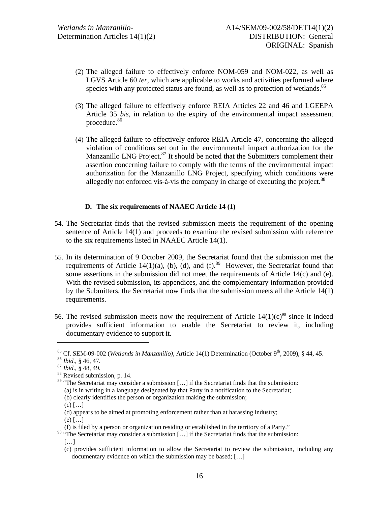- (2) The alleged failure to effectively enforce NOM-059 and NOM-022, as well as LGVS Article 60 *ter*, which are applicable to works and activities performed where species with any protected status are found, as well as to protection of wetlands.<sup>85</sup>
- (3) The alleged failure to effectively enforce REIA Articles 22 and 46 and LGEEPA Article 35 *bis*, in relation to the expiry of the environmental impact assessment procedure.<sup>86</sup>
- (4) The alleged failure to effectively enforce REIA Article 47, concerning the alleged violation of conditions set out in the environmental impact authorization for the Manzanillo LNG Project. $87$  It should be noted that the Submitters complement their assertion concerning failure to comply with the terms of the environmental impact authorization for the Manzanillo LNG Project, specifying which conditions were allegedly not enforced vis-à-vis the company in charge of executing the project.<sup>88</sup>

### **D. The six requirements of NAAEC Article 14 (1)**

- 54. The Secretariat finds that the revised submission meets the requirement of the opening sentence of Article 14(1) and proceeds to examine the revised submission with reference to the six requirements listed in NAAEC Article 14(1).
- 55. In its determination of 9 October 2009, the Secretariat found that the submission met the requirements of Article 14(1)(a), (b), (d), and (f).<sup>89</sup> However, the Secretariat found that some assertions in the submission did not meet the requirements of Article 14(c) and (e). With the revised submission, its appendices, and the complementary information provided by the Submitters, the Secretariat now finds that the submission meets all the Article 14(1) requirements.
- 56. The revised submission meets now the requirement of Article  $14(1)(c)^{90}$  since it indeed provides sufficient information to enable the Secretariat to review it, including documentary evidence to support it.

- <sup>89</sup> "The Secretariat may consider a submission [...] if the Secretariat finds that the submission: (a) is in writing in a language designated by that Party in a notification to the Secretariat; (b) clearly identifies the person or organization making the submission;
	- $(c)$   $\left[ \ldots \right]$

<sup>85</sup> Cf. SEM-09-002 (*Wetlands in Manzanillo),* Article 14(1) Determination (October 9th, 2009), § 44, 45. 86 *Ibid.,* § 46, 47. 87 *Ibid.,* § 48, 49. 88 Revised submission, p. 14.

<sup>(</sup>d) appears to be aimed at promoting enforcement rather than at harassing industry;

 $(e)$  [...]

<sup>(</sup>f) is filed by a person or organization residing or established in the territory of a Party."

<sup>&</sup>lt;sup>90</sup> "The Secretariat may consider a submission [...] if the Secretariat finds that the submission: […]

<sup>(</sup>c) provides sufficient information to allow the Secretariat to review the submission, including any documentary evidence on which the submission may be based; […]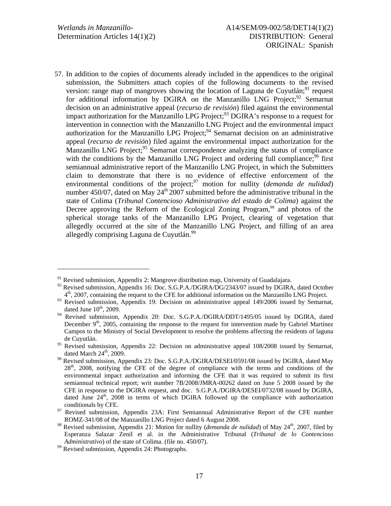l

57. In addition to the copies of documents already included in the appendices to the original submission, the Submitters attach copies of the following documents to the revised version: range map of mangroves showing the location of Laguna de Cuyutlán; $^{91}$  request for additional information by DGIRA on the Manzanillo LNG Project;<sup>92</sup> Semarnat decision on an administrative appeal (*recurso de revisión*) filed against the environmental impact authorization for the Manzanillo LPG Project;<sup>93</sup> DGIRA's response to a request for intervention in connection with the Manzanillo LNG Project and the environmental impact authorization for the Manzanillo LPG Project; $94$  Semarnat decision on an administrative appeal (*recurso de revisión*) filed against the environmental impact authorization for the Manzanillo LNG Project;<sup>95</sup> Semarnat correspondence analyzing the status of compliance with the conditions by the Manzanillo LNG Project and ordering full compliance;<sup>96</sup> first semiannual administrative report of the Manzanillo LNG Project, in which the Submitters claim to demonstrate that there is no evidence of effective enforcement of the environmental conditions of the project;<sup>97</sup> motion for nullity (*demanda de nulidad*) number 450/07, dated on May  $24<sup>th</sup>$  2007 submitted before the administrative tribunal in the state of Colima (*Tribunal Contencioso Administrativo del estado de Colima*) against the Decree approving the Reform of the Ecological Zoning Program,<sup>98</sup> and photos of the spherical storage tanks of the Manzanillo LPG Project, clearing of vegetation that allegedly occurred at the site of the Manzanillo LNG Project, and filling of an area allegedly comprising Laguna de Cuyutlán.<sup>99</sup>

 $91$  Revised submission, Appendix 2: Mangrove distribution map, University of Guadalajara.

<sup>&</sup>lt;sup>92</sup> Revised submission, Appendix 16: Doc. S.G.P.A./DGIRA/DG/2343/07 issued by DGIRA, dated October 4th, 2007, containing the request to the CFE for additional information on the Manzanillo LNG Project.

<sup>&</sup>lt;sup>93</sup> Revised submission, Appendix 19: Decision on administrative appeal 149/2006 issued by Semarnat, dated June  $10^{th}$ , 2009.

<sup>&</sup>lt;sup>94</sup> Revised submission, Appendix 20: Doc. S.G.P.A./DGIRA/DDT/1495/05 issued by DGIRA, dated December 9<sup>th</sup>, 2005, containing the response to the request for intervention made by Gabriel Martínez Campos to the Ministry of Social Development to resolve the problems affecting the residents of laguna de Cuyutlán.

 $\frac{95}{2}$  Revised submission, Appendix 22: Decision on administrative appeal 108/2008 issued by Semarnat,

dated March  $24^{\text{th}}$ , 2009.<br><sup>96</sup> Revised submission, Appendix 23: Doc. S.G.P.A./DGIRA/DESEI/0591/08 issued by DGIRA, dated May 28<sup>th</sup>, 2008, notifying the CFE of the degree of compliance with the terms and conditions of the environmental impact authorization and informing the CFE that it was required to submit its first semiannual technical report; writ number 7B/2008/JMRA-00262 dated on June 5 2008 issued by the CFE in response to the DGIRA request, and doc. S.G.P.A./DGIRA/DESEI/0732/08 issued by DGIRA, dated June 24<sup>th</sup>, 2008 in terms of which DGIRA followed up the compliance with authorization conditionals by CFE. 97 Revised submission, Appendix 23A: First Semiannual Administrative Report of the CFE number

ROMZ-341/08 of the Manzanillo LNG Project dated 6 August 2008.

<sup>&</sup>lt;sup>98</sup> Revised submission, Appendix 21: Motion for nullity (*demanda de nulidad*) of May  $24^{\text{th}}$ , 2007, filed by Esperanza Salazar Zenil et al. in the Administrative Tribunal (*Tribunal de lo Contencioso Administrativo*) of the state of Colima. (file no. 450/07). <sup>99</sup> Revised submission, Appendix 24: Photographs.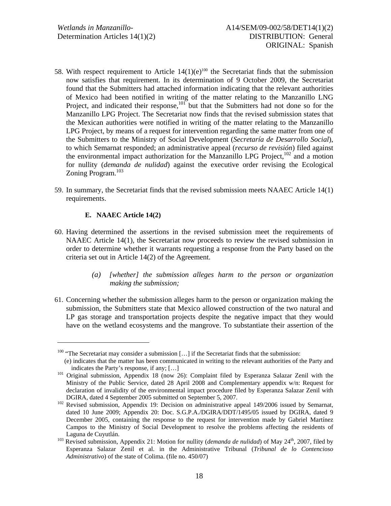- 58. With respect requirement to Article  $14(1)(e)^{100}$  the Secretariat finds that the submission now satisfies that requirement. In its determination of 9 October 2009, the Secretariat found that the Submitters had attached information indicating that the relevant authorities of Mexico had been notified in writing of the matter relating to the Manzanillo LNG Project, and indicated their response, $101^{\circ}$  but that the Submitters had not done so for the Manzanillo LPG Project. The Secretariat now finds that the revised submission states that the Mexican authorities were notified in writing of the matter relating to the Manzanillo LPG Project, by means of a request for intervention regarding the same matter from one of the Submitters to the Ministry of Social Development (*Secretaría de Desarrollo Social*), to which Semarnat responded; an administrative appeal (*recurso de revisión*) filed against the environmental impact authorization for the Manzanillo LPG Project,<sup>102</sup> and a motion for nullity (*demanda de nulidad*) against the executive order revising the Ecological Zoning Program.<sup>103</sup>
- 59. In summary, the Secretariat finds that the revised submission meets NAAEC Article 14(1) requirements.

#### **E. NAAEC Article 14(2)**

- 60. Having determined the assertions in the revised submission meet the requirements of NAAEC Article 14(1), the Secretariat now proceeds to review the revised submission in order to determine whether it warrants requesting a response from the Party based on the criteria set out in Article 14(2) of the Agreement.
	- *(a) [whether] the submission alleges harm to the person or organization making the submission;*
- 61. Concerning whether the submission alleges harm to the person or organization making the submission, the Submitters state that Mexico allowed construction of the two natural and LP gas storage and transportation projects despite the negative impact that they would have on the wetland ecosystems and the mangrove. To substantiate their assertion of the

<sup>&</sup>lt;sup>100</sup> "The Secretariat may consider a submission [...] if the Secretariat finds that the submission:

<sup>(</sup>e) indicates that the matter has been communicated in writing to the relevant authorities of the Party and

indicates the Party's response, if any; [...]<br><sup>101</sup> Original submission, Appendix 18 (now 26): Complaint filed by Esperanza Salazar Zenil with the Ministry of the Public Service, dated 28 April 2008 and Complementary appendix w/n: Request for declaration of invalidity of the environmental impact procedure filed by Esperanza Salazar Zenil with

DGIRA, dated 4 September 2005 submitted on September 5, 2007.<br><sup>102</sup> Revised submission, Appendix 19: Decision on administrative appeal 149/2006 issued by Semarnat, dated 10 June 2009; Appendix 20: Doc. S.G.P.A./DGIRA/DDT/1495/05 issued by DGIRA, dated 9 December 2005, containing the response to the request for intervention made by Gabriel Martínez Campos to the Ministry of Social Development to resolve the problems affecting the residents of Laguna de Cuyutlán.<br><sup>103</sup> Revised submission, Appendix 21: Motion for nullity (*demanda de nulidad*) of May 24<sup>th</sup>, 2007, filed by

Esperanza Salazar Zenil et al. in the Administrative Tribunal (*Tribunal de lo Contencioso Administrativo*) of the state of Colima. (file no. 450/07)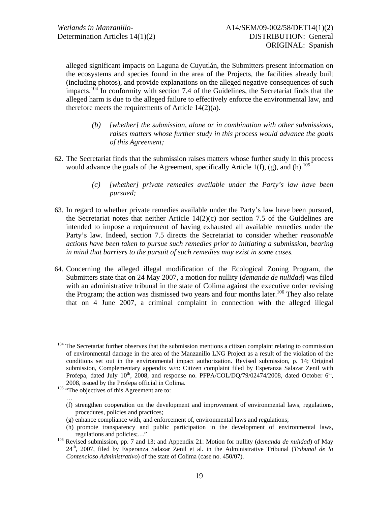alleged significant impacts on Laguna de Cuyutlán, the Submitters present information on the ecosystems and species found in the area of the Projects, the facilities already built (including photos), and provide explanations on the alleged negative consequences of such impacts.<sup>104</sup> In conformity with section 7.4 of the Guidelines, the Secretariat finds that the alleged harm is due to the alleged failure to effectively enforce the environmental law, and therefore meets the requirements of Article 14(2)(a).

- *(b) [whether] the submission, alone or in combination with other submissions, raises matters whose further study in this process would advance the goals of this Agreement;*
- 62. The Secretariat finds that the submission raises matters whose further study in this process would advance the goals of the Agreement, specifically Article 1(f), (g), and (h).<sup>105</sup>
	- *(c) [whether] private remedies available under the Party's law have been pursued;*
- 63. In regard to whether private remedies available under the Party's law have been pursued, the Secretariat notes that neither Article  $14(2)(c)$  nor section 7.5 of the Guidelines are intended to impose a requirement of having exhausted all available remedies under the Party's law. Indeed, section 7.5 directs the Secretariat to consider whether *reasonable actions have been taken to pursue such remedies prior to initiating a submission, bearing in mind that barriers to the pursuit of such remedies may exist in some cases.*
- 64. Concerning the alleged illegal modification of the Ecological Zoning Program, the Submitters state that on 24 May 2007, a motion for nullity (*demanda de nulidad*) was filed with an administrative tribunal in the state of Colima against the executive order revising the Program; the action was dismissed two years and four months later.<sup>106</sup> They also relate that on 4 June 2007, a criminal complaint in connection with the alleged illegal

l

…

<sup>&</sup>lt;sup>104</sup> The Secretariat further observes that the submission mentions a citizen complaint relating to commission of environmental damage in the area of the Manzanillo LNG Project as a result of the violation of the conditions set out in the environmental impact authorization. Revised submission, p. 14; Original submission, Complementary appendix w/n: Citizen complaint filed by Esperanza Salazar Zenil with Profepa, dated July 10<sup>th</sup>, 2008, and response no. PFPA/COL/DQ/79/02474/2008, dated October 6<sup>th</sup>, 2008, issued by the Profepa official in Colima. 105 "The objectives of this Agreement are to:

<sup>(</sup>f) strengthen cooperation on the development and improvement of environmental laws, regulations, procedures, policies and practices;

<sup>(</sup>g) enhance compliance with, and enforcement of, environmental laws and regulations;

<sup>(</sup>h) promote transparency and public participation in the development of environmental laws, regulations and policies;…" 106 Revised submission, pp. 7 and 13; and Appendix 21: Motion for nullity (*demanda de nulidad*) of May

<sup>24</sup>th, 2007, filed by Esperanza Salazar Zenil et al. in the Administrative Tribunal (*Tribunal de lo Contencioso Administrativo*) of the state of Colima (case no. 450/07).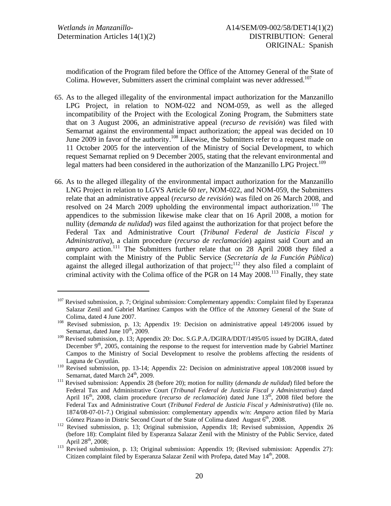l

modification of the Program filed before the Office of the Attorney General of the State of Colima. However, Submitters assert the criminal complaint was never addressed.<sup>107</sup>

- 65. As to the alleged illegality of the environmental impact authorization for the Manzanillo LPG Project, in relation to NOM-022 and NOM-059, as well as the alleged incompatibility of the Project with the Ecological Zoning Program, the Submitters state that on 3 August 2006, an administrative appeal (*recurso de revisión*) was filed with Semarnat against the environmental impact authorization; the appeal was decided on 10 June 2009 in favor of the authority.<sup>108</sup> Likewise, the Submitters refer to a request made on 11 October 2005 for the intervention of the Ministry of Social Development, to which request Semarnat replied on 9 December 2005, stating that the relevant environmental and legal matters had been considered in the authorization of the Manzanillo LPG Project.<sup>109</sup>
- 66. As to the alleged illegality of the environmental impact authorization for the Manzanillo LNG Project in relation to LGVS Article 60 *ter*, NOM-022, and NOM-059, the Submitters relate that an administrative appeal (*recurso de revisión*) was filed on 26 March 2008, and resolved on 24 March 2009 upholding the environmental impact authorization.<sup>110</sup> The appendices to the submission likewise make clear that on 16 April 2008, a motion for nullity (*demanda de nulidad*) *was* filed against the authorization for that project before the Federal Tax and Administrative Court (*Tribunal Federal de Justicia Fiscal y Administrativa*), a claim procedure (*recurso de reclamación*) against said Court and an *amparo* action.<sup>111</sup> The Submitters further relate that on 28 April 2008 they filed a complaint with the Ministry of the Public Service (*Secretaría de la Función Pública*) against the alleged illegal authorization of that project; $112$  they also filed a complaint of criminal activity with the Colima office of the PGR on 14 May 2008.113 Finally, they state

<sup>&</sup>lt;sup>107</sup> Revised submission, p. 7; Original submission: Complementary appendix: Complaint filed by Esperanza Salazar Zenil and Gabriel Martínez Campos with the Office of the Attorney General of the State of

Colima, dated 4 June 2007.<br><sup>108</sup> Revised submission, p. 13; Appendix 19: Decision on administrative appeal 149/2006 issued by Semarnat, dated June  $10^{th}$ , 2009.

<sup>&</sup>lt;sup>109</sup> Revised submission, p. 13; Appendix 20: Doc. S.G.P.A./DGIRA/DDT/1495/05 issued by DGIRA, dated December  $9<sup>th</sup>$ , 2005, containing the response to the request for intervention made by Gabriel Martínez Campos to the Ministry of Social Development to resolve the problems affecting the residents of

Laguna de Cuyutlán. 110 Revised submission, pp. 13-14; Appendix 22: Decision on administrative appeal 108/2008 issued by Semarnat, dated March 24<sup>th</sup>, 2009.<br><sup>111</sup> Revised submission: Appendix 28 (before 20); motion for nullity (*demanda de nulidad*) filed before the

Federal Tax and Administrative Court (*Tribunal Federal de Justicia Fiscal y Administrativa*) dated April 16<sup>th</sup>, 2008, claim procedure (*recurso de reclamación*) dated June 13<sup>th</sup>, 2008 filed before the Federal Tax and Administrative Court (*Tribunal Federal de Justicia Fiscal y Administrativa*) (file no. 1874/08-07-01-7.) Original submission: complementary appendix w/n: *Amparo* action filed by María Gómez Pizano in Distric Second Court of the State of Colima dated August  $6<sup>th</sup>$ , 2008.<br><sup>112</sup> Revised submission, p. 13; Original submission, Appendix 18; Revised submission, Appendix 26

<sup>(</sup>before 18): Complaint filed by Esperanza Salazar Zenil with the Ministry of the Public Service, dated April 28<sup>th</sup>, 2008;

 $\frac{113}{113}$  Revised submission, p. 13; Original submission: Appendix 19; (Revised submission: Appendix 27): Citizen complaint filed by Esperanza Salazar Zenil with Profepa, dated May  $14<sup>th</sup>$ , 2008.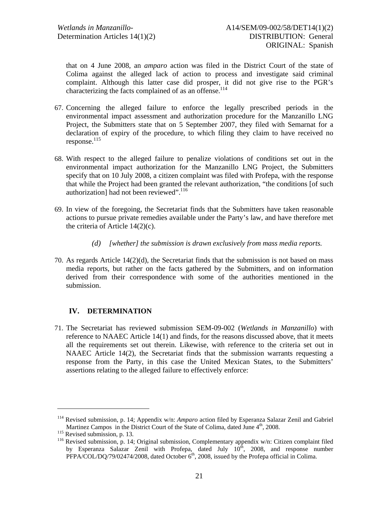that on 4 June 2008, an *amparo* action was filed in the District Court of the state of Colima against the alleged lack of action to process and investigate said criminal complaint. Although this latter case did prosper, it did not give rise to the PGR's characterizing the facts complained of as an offense.<sup>114</sup>

- 67. Concerning the alleged failure to enforce the legally prescribed periods in the environmental impact assessment and authorization procedure for the Manzanillo LNG Project, the Submitters state that on 5 September 2007, they filed with Semarnat for a declaration of expiry of the procedure, to which filing they claim to have received no  $response.<sup>115</sup>$
- 68. With respect to the alleged failure to penalize violations of conditions set out in the environmental impact authorization for the Manzanillo LNG Project, the Submitters specify that on 10 July 2008, a citizen complaint was filed with Profepa, with the response that while the Project had been granted the relevant authorization, "the conditions [of such authorization] had not been reviewed".<sup>116</sup>
- 69. In view of the foregoing, the Secretariat finds that the Submitters have taken reasonable actions to pursue private remedies available under the Party's law, and have therefore met the criteria of Article 14(2)(c).
	- *(d) [whether] the submission is drawn exclusively from mass media reports.*
- 70. As regards Article 14(2)(d), the Secretariat finds that the submission is not based on mass media reports, but rather on the facts gathered by the Submitters, and on information derived from their correspondence with some of the authorities mentioned in the submission.

# **IV. DETERMINATION**

71. The Secretariat has reviewed submission SEM-09-002 (*Wetlands in Manzanillo*) with reference to NAAEC Article 14(1) and finds, for the reasons discussed above, that it meets all the requirements set out therein. Likewise, with reference to the criteria set out in NAAEC Article 14(2), the Secretariat finds that the submission warrants requesting a response from the Party, in this case the United Mexican States, to the Submitters' assertions relating to the alleged failure to effectively enforce:

<sup>114</sup> Revised submission, p. 14; Appendix w/n: *Amparo* action filed by Esperanza Salazar Zenil and Gabriel Martinez Campos in the District Court of the State of Colima, dated June  $4<sup>th</sup>$ , 2008.<br><sup>115</sup> Revised submission, p. 14; Original submission, Complementary appendix w/n: Citizen complaint filed<br><sup>116</sup> Revised submission

by Esperanza Salazar Zenil with Profepa, dated July  $10^{th}$ , 2008, and response number PFPA/COL/DQ/79/02474/2008, dated October 6<sup>th</sup>, 2008, issued by the Profepa official in Colima.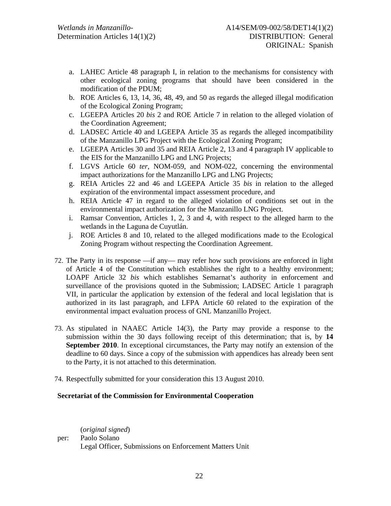- a. LAHEC Article 48 paragraph I, in relation to the mechanisms for consistency with other ecological zoning programs that should have been considered in the modification of the PDUM;
- b. ROE Articles 6, 13, 14, 36, 48, 49, and 50 as regards the alleged illegal modification of the Ecological Zoning Program;
- c. LGEEPA Articles 20 *bis* 2 and ROE Article 7 in relation to the alleged violation of the Coordination Agreement;
- d. LADSEC Article 40 and LGEEPA Article 35 as regards the alleged incompatibility of the Manzanillo LPG Project with the Ecological Zoning Program;
- e. LGEEPA Articles 30 and 35 and REIA Article 2, 13 and 4 paragraph IV applicable to the EIS for the Manzanillo LPG and LNG Projects;
- f. LGVS Article 60 *ter*, NOM-059, and NOM-022, concerning the environmental impact authorizations for the Manzanillo LPG and LNG Projects;
- g. REIA Articles 22 and 46 and LGEEPA Article 35 *bis* in relation to the alleged expiration of the environmental impact assessment procedure, and
- h. REIA Article 47 in regard to the alleged violation of conditions set out in the environmental impact authorization for the Manzanillo LNG Project.
- i. Ramsar Convention, Articles 1, 2, 3 and 4, with respect to the alleged harm to the wetlands in the Laguna de Cuyutlán.
- j. ROE Articles 8 and 10, related to the alleged modifications made to the Ecological Zoning Program without respecting the Coordination Agreement.
- 72. The Party in its response —if any— may refer how such provisions are enforced in light of Article 4 of the Constitution which establishes the right to a healthy environment; LOAPF Article 32 *bis* which establishes Semarnat's authority in enforcement and surveillance of the provisions quoted in the Submission; LADSEC Article 1 paragraph VII, in particular the application by extension of the federal and local legislation that is authorized in its last paragraph, and LFPA Article 60 related to the expiration of the environmental impact evaluation process of GNL Manzanillo Project.
- 73. As stipulated in NAAEC Article 14(3), the Party may provide a response to the submission within the 30 days following receipt of this determination; that is, by **14 September 2010**. In exceptional circumstances, the Party may notify an extension of the deadline to 60 days. Since a copy of the submission with appendices has already been sent to the Party, it is not attached to this determination.
- 74. Respectfully submitted for your consideration this 13 August 2010.

#### **Secretariat of the Commission for Environmental Cooperation**

(*original signed*) per: Paolo Solano Legal Officer, Submissions on Enforcement Matters Unit